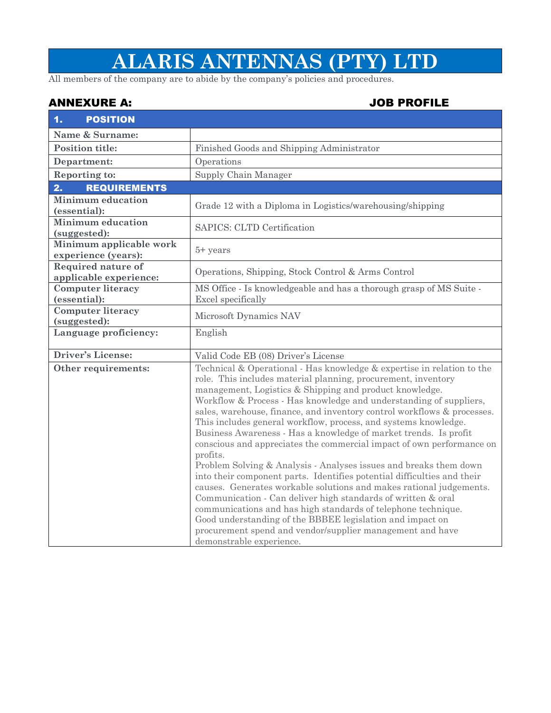## **ALARIS ANTENNAS (PTY) LTD**

All members of the company are to abide by the company's policies and procedures.

## ANNEXURE A: JOB PROFILE

| 1.<br><b>POSITION</b>                               |                                                                                                                                                                                                                                                                                                                                                                                                                                                                                                                                                                                                                                                                                                                                                                                                                                                                                                                                                                                                                                                                                               |  |
|-----------------------------------------------------|-----------------------------------------------------------------------------------------------------------------------------------------------------------------------------------------------------------------------------------------------------------------------------------------------------------------------------------------------------------------------------------------------------------------------------------------------------------------------------------------------------------------------------------------------------------------------------------------------------------------------------------------------------------------------------------------------------------------------------------------------------------------------------------------------------------------------------------------------------------------------------------------------------------------------------------------------------------------------------------------------------------------------------------------------------------------------------------------------|--|
| Name & Surname:                                     |                                                                                                                                                                                                                                                                                                                                                                                                                                                                                                                                                                                                                                                                                                                                                                                                                                                                                                                                                                                                                                                                                               |  |
| <b>Position title:</b>                              | Finished Goods and Shipping Administrator                                                                                                                                                                                                                                                                                                                                                                                                                                                                                                                                                                                                                                                                                                                                                                                                                                                                                                                                                                                                                                                     |  |
| Department:                                         | Operations                                                                                                                                                                                                                                                                                                                                                                                                                                                                                                                                                                                                                                                                                                                                                                                                                                                                                                                                                                                                                                                                                    |  |
| Reporting to:                                       | Supply Chain Manager                                                                                                                                                                                                                                                                                                                                                                                                                                                                                                                                                                                                                                                                                                                                                                                                                                                                                                                                                                                                                                                                          |  |
| 2.<br><b>REQUIREMENTS</b>                           |                                                                                                                                                                                                                                                                                                                                                                                                                                                                                                                                                                                                                                                                                                                                                                                                                                                                                                                                                                                                                                                                                               |  |
| <b>Minimum education</b><br>(essential):            | Grade 12 with a Diploma in Logistics/warehousing/shipping                                                                                                                                                                                                                                                                                                                                                                                                                                                                                                                                                                                                                                                                                                                                                                                                                                                                                                                                                                                                                                     |  |
| <b>Minimum</b> education<br>(suggested):            | SAPICS: CLTD Certification                                                                                                                                                                                                                                                                                                                                                                                                                                                                                                                                                                                                                                                                                                                                                                                                                                                                                                                                                                                                                                                                    |  |
| Minimum applicable work<br>experience (years):      | $5+$ years                                                                                                                                                                                                                                                                                                                                                                                                                                                                                                                                                                                                                                                                                                                                                                                                                                                                                                                                                                                                                                                                                    |  |
| <b>Required nature of</b><br>applicable experience: | Operations, Shipping, Stock Control & Arms Control                                                                                                                                                                                                                                                                                                                                                                                                                                                                                                                                                                                                                                                                                                                                                                                                                                                                                                                                                                                                                                            |  |
| <b>Computer literacy</b>                            | MS Office - Is knowledgeable and has a thorough grasp of MS Suite -                                                                                                                                                                                                                                                                                                                                                                                                                                                                                                                                                                                                                                                                                                                                                                                                                                                                                                                                                                                                                           |  |
| (essential):                                        | Excel specifically                                                                                                                                                                                                                                                                                                                                                                                                                                                                                                                                                                                                                                                                                                                                                                                                                                                                                                                                                                                                                                                                            |  |
| <b>Computer literacy</b><br>(suggested):            | Microsoft Dynamics NAV                                                                                                                                                                                                                                                                                                                                                                                                                                                                                                                                                                                                                                                                                                                                                                                                                                                                                                                                                                                                                                                                        |  |
| Language proficiency:                               | English                                                                                                                                                                                                                                                                                                                                                                                                                                                                                                                                                                                                                                                                                                                                                                                                                                                                                                                                                                                                                                                                                       |  |
| Driver's License:                                   | Valid Code EB (08) Driver's License                                                                                                                                                                                                                                                                                                                                                                                                                                                                                                                                                                                                                                                                                                                                                                                                                                                                                                                                                                                                                                                           |  |
| Other requirements:                                 | Technical & Operational - Has knowledge & expertise in relation to the<br>role. This includes material planning, procurement, inventory<br>management, Logistics & Shipping and product knowledge.<br>Workflow & Process - Has knowledge and understanding of suppliers,<br>sales, warehouse, finance, and inventory control workflows & processes.<br>This includes general workflow, process, and systems knowledge.<br>Business Awareness - Has a knowledge of market trends. Is profit<br>conscious and appreciates the commercial impact of own performance on<br>profits.<br>Problem Solving & Analysis - Analyses issues and breaks them down<br>into their component parts. Identifies potential difficulties and their<br>causes. Generates workable solutions and makes rational judgements.<br>Communication - Can deliver high standards of written & oral<br>communications and has high standards of telephone technique.<br>Good understanding of the BBBEE legislation and impact on<br>procurement spend and vendor/supplier management and have<br>demonstrable experience. |  |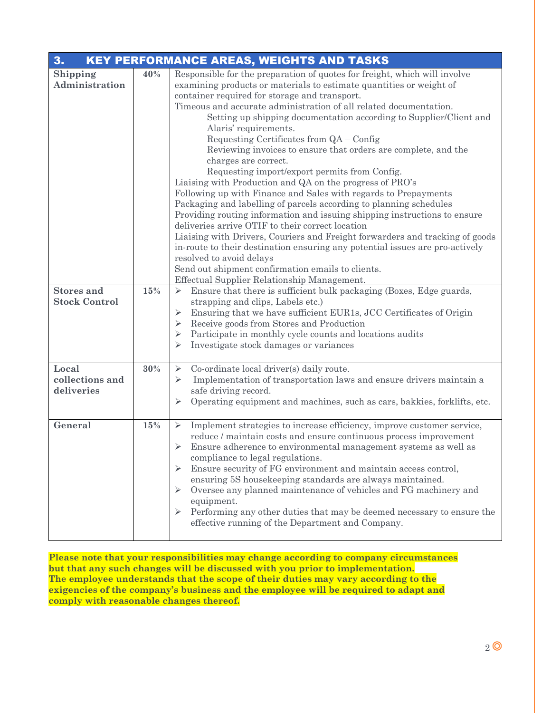| 3.<br><b>KEY PERFORMANCE AREAS, WEIGHTS AND TASKS</b> |     |                                                                                                                                                                                                                                                                                                                                                                                                                                                                                                                                                                                                                                                                                                                                                                                                                                                                                                                                                                                                                                                                                                                                                                                                    |
|-------------------------------------------------------|-----|----------------------------------------------------------------------------------------------------------------------------------------------------------------------------------------------------------------------------------------------------------------------------------------------------------------------------------------------------------------------------------------------------------------------------------------------------------------------------------------------------------------------------------------------------------------------------------------------------------------------------------------------------------------------------------------------------------------------------------------------------------------------------------------------------------------------------------------------------------------------------------------------------------------------------------------------------------------------------------------------------------------------------------------------------------------------------------------------------------------------------------------------------------------------------------------------------|
| Shipping<br>Administration                            | 40% | Responsible for the preparation of quotes for freight, which will involve<br>examining products or materials to estimate quantities or weight of<br>container required for storage and transport.<br>Timeous and accurate administration of all related documentation.<br>Setting up shipping documentation according to Supplier/Client and<br>Alaris' requirements.<br>Requesting Certificates from QA - Config<br>Reviewing invoices to ensure that orders are complete, and the<br>charges are correct.<br>Requesting import/export permits from Config.<br>Liaising with Production and QA on the progress of PRO's<br>Following up with Finance and Sales with regards to Prepayments<br>Packaging and labelling of parcels according to planning schedules<br>Providing routing information and issuing shipping instructions to ensure<br>deliveries arrive OTIF to their correct location<br>Liaising with Drivers, Couriers and Freight forwarders and tracking of goods<br>in-route to their destination ensuring any potential issues are pro-actively<br>resolved to avoid delays<br>Send out shipment confirmation emails to clients.<br>Effectual Supplier Relationship Management. |
| <b>Stores and</b><br><b>Stock Control</b>             | 15% | Ensure that there is sufficient bulk packaging (Boxes, Edge guards,<br>➤<br>strapping and clips, Labels etc.)<br>Ensuring that we have sufficient EUR1s, JCC Certificates of Origin<br>Receive goods from Stores and Production<br>Participate in monthly cycle counts and locations audits<br>➤<br>Investigate stock damages or variances                                                                                                                                                                                                                                                                                                                                                                                                                                                                                                                                                                                                                                                                                                                                                                                                                                                         |
| Local<br>collections and<br>deliveries                | 30% | Co-ordinate local driver(s) daily route.<br>$\blacktriangleright$<br>Implementation of transportation laws and ensure drivers maintain a<br>⋗<br>safe driving record.<br>Operating equipment and machines, such as cars, bakkies, forklifts, etc.<br>➤                                                                                                                                                                                                                                                                                                                                                                                                                                                                                                                                                                                                                                                                                                                                                                                                                                                                                                                                             |
| General                                               | 15% | Implement strategies to increase efficiency, improve customer service,<br>➤<br>reduce / maintain costs and ensure continuous process improvement<br>Ensure adherence to environmental management systems as well as<br>➤<br>compliance to legal regulations.<br>Ensure security of FG environment and maintain access control,<br>ensuring 5S housekeeping standards are always maintained.<br>Oversee any planned maintenance of vehicles and FG machinery and<br>equipment.<br>Performing any other duties that may be deemed necessary to ensure the<br>effective running of the Department and Company.                                                                                                                                                                                                                                                                                                                                                                                                                                                                                                                                                                                        |

**Please note that your responsibilities may change according to company circumstances but that any such changes will be discussed with you prior to implementation. The employee understands that the scope of their duties may vary according to the exigencies of the company's business and the employee will be required to adapt and comply with reasonable changes thereof.**